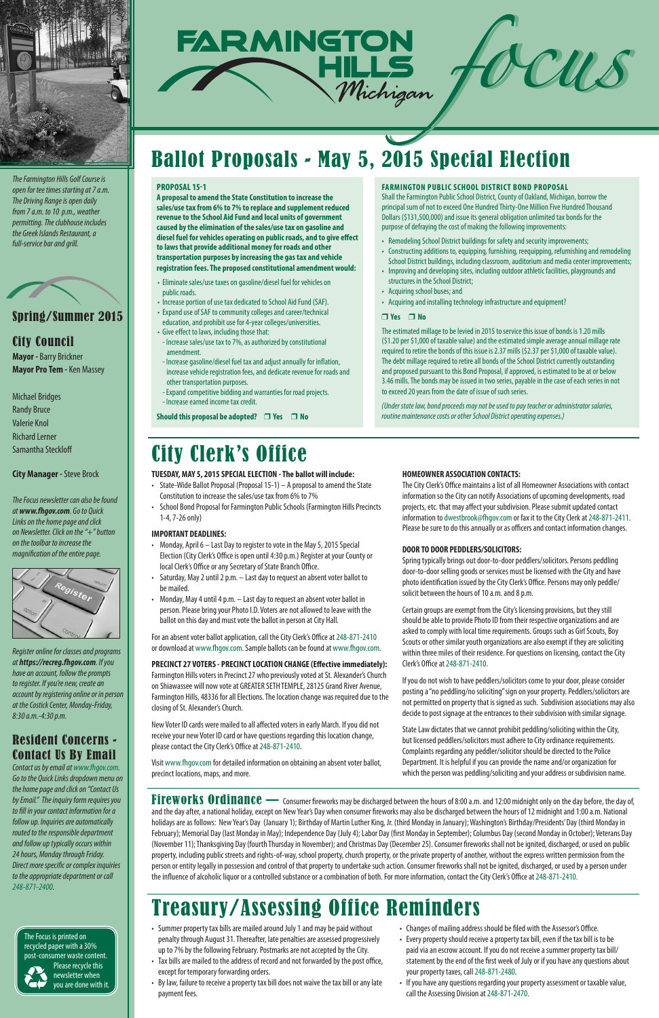## Spring/Summer 2015

### City Council

**Mayor -** Barry Brickner **Mayor Pro Tem -** Ken Massey

Michael Bridges Randy Bruce Valerie Knol Richard Lerner Samantha Steckloff

#### **City Manager -** Steve Brock

*The Focus newsletter can also be found at www.fhgov.com. Go to Quick Links on the home page and click on Newsletter. Click on the "+" button on the toolbar to increase the magnification of the entire page.* 



*Register online for classes and programs at https://recreg.fhgov.com. If you have an account, follow the prompts to register. If you're new, create an account by registering online or in person at the Costick Center, Monday-Friday, 8:30 a.m.-4:30 p.m.*

## Resident Concerns - Contact Us By Email



*Contact us by email at www.fhgov.com. Go to the Quick Links dropdown menu on the home page and click on "Contact Us by Email." The inquiry form requires you to fill in your contact information for a follow up. Inquiries are automatically routed to the responsible department and follow up typically occurs within 24 hours, Monday through Friday. Direct more specific or complex inquiries to the appropriate department or call 248-871-2400.*



*The Farmington Hills Golf Course is open for tee times starting at 7 a.m. The Driving Range is open daily from 7 a.m. to 10 p.m., weather permitting. The clubhouse includes the Greek Islands Restaurant, a full-service bar and grill.* 



#### **TUESDAY, MAY 5, 2015 SPECIAL ELECTION - The ballot will include:**

- State-Wide Ballot Proposal (Proposal 15-1) A proposal to amend the State Constitution to increase the sales/use tax from 6% to 7%
- School Bond Proposal for Farmington Public Schools (Farmington Hills Precincts 1-4, 7-26 only)

#### **IMPORTANT DEADLINES:**

- Monday, April 6 Last Day to register to vote in the May 5, 2015 Special Election (City Clerk's Office is open until 4:30 p.m.) Register at your County or local Clerk's Office or any Secretary of State Branch Office.
- Saturday, May 2 until 2 p.m. Last day to request an absent voter ballot to be mailed.
- Monday, May 4 until 4 p.m. Last day to request an absent voter ballot in person. Please bring your Photo I.D. Voters are not allowed to leave with the ballot on this day and must vote the ballot in person at City Hall.

For an absent voter ballot application, call the City Clerk's Office at 248-871-2410 or download at www.fhgov.com. Sample ballots can be found at www.fhgov.com.

#### **PRECINCT 27 VOTERS - PRECINCT LOCATION CHANGE (Effective immediately):**

Farmington Hills voters in Precinct 27 who previously voted at St. Alexander's Church on Shiawassee will now vote at GREATER SETH TEMPLE, 28125 Grand River Avenue, Farmington Hills, 48336 for all Elections. The location change was required due to the closing of St. Alexander's Church.

New Voter ID cards were mailed to all affected voters in early March. If you did not receive your new Voter ID card or have questions regarding this location change, please contact the City Clerk's Office at 248-871-2410.

Visit www.fhgov.com for detailed information on obtaining an absent voter ballot, precinct locations, maps, and more.

#### **HOMEOWNER ASSOCIATION CONTACTS:**

The City Clerk's Office maintains a list of all Homeowner Associations with contact information so the City can notify Associations of upcoming developments, road projects, etc. that may affect your subdivision. Please submit updated contact information to dwestbrook@fhgov.com or fax it to the City Clerk at 248-871-2411. Please be sure to do this annually or as officers and contact information changes.

#### **DOOR TO DOOR PEDDLERS/SOLICITORS:**

Spring typically brings out door-to-door peddlers/solicitors. Persons peddling door-to-door selling goods or services must be licensed with the City and have photo identification issued by the City Clerk's Office. Persons may only peddle/ solicit between the hours of 10 a.m. and 8 p.m.

Fireworks Ordinance — Consumer fireworks may be discharged between the hours of 8:00 a.m. and 12:00 midnight only on the day before, the day of, and the day after, a national holiday, except on New Year's Day when consumer fireworks may also be discharged between the hours of 12 midnight and 1:00 a.m. National holidays are as follows: New Year's Day (January 1); Birthday of Martin Luther King, Jr. (third Monday in January); Washington's Birthday/Presidents' Day (third Monday in February); Memorial Day (last Monday in May); Independence Day (July 4); Labor Day (first Monday in September); Columbus Day (second Monday in October); Veterans Day (November 11); Thanksgiving Day (fourth Thursday in November); and Christmas Day (December 25). Consumer fireworks shall not be ignited, discharged, or used on public property, including public streets and rights-of-way, school property, church property, or the private property of another, without the express written permission from the person or entity legally in possession and control of that property to undertake such action. Consumer fireworks shall not be ignited, discharged, or used by a person under the influence of alcoholic liquor or a controlled substance or a combination of both. For more information, contact the City Clerk's Office at 248-871-2410.

Certain groups are exempt from the City's licensing provisions, but they still should be able to provide Photo ID from their respective organizations and are asked to comply with local time requirements. Groups such as Girl Scouts, Boy Scouts or other similar youth organizations are also exempt if they are soliciting within three miles of their residence. For questions on licensing, contact the City Clerk's Office at 248-871-2410.

If you do not wish to have peddlers/solicitors come to your door, please consider posting a "no peddling/no soliciting" sign on your property. Peddlers/solicitors are not permitted on property that is signed as such. Subdivision associations may also decide to post signage at the entrances to their subdivision with similar signage.

State Law dictates that we cannot prohibit peddling/soliciting within the City, but licensed peddlers/solicitors must adhere to City ordinance requirements. Complaints regarding any peddler/solicitor should be directed to the Police Department. It is helpful if you can provide the name and/or organization for which the person was peddling/soliciting and your address or subdivision name.

The Focus is printed on recycled paper with a 30% post-consumer waste content. Please recycle this newsletter when you are done with it.

# Ballot Proposals - May 5, 2015 Special Election



- Summer property tax bills are mailed around July 1 and may be paid without penalty through August 31. Thereafter, late penalties are assessed progressively up to 7% by the following February. Postmarks are not accepted by the City.
- Tax bills are mailed to the address of record and not forwarded by the post office, except for temporary forwarding orders.
- By law, failure to receive a property tax bill does not waive the tax bill or any late payment fees.
- Changes of mailing address should be filed with the Assessor's Office.
- Every property should receive a property tax bill, even if the tax bill is to be paid via an escrow account. If you do not receive a summer property tax bill/ statement by the end of the first week of July or if you have any questions about your property taxes, call 248-871-2480.
- If you have any questions regarding your property assessment or taxable value, call the Assessing Division at 248-871-2470.

## Treasury/Assessing Office Reminders

## City Clerk's Office

#### **PROPOSAL 15-1**

**A proposal to amend the State Constitution to increase the sales/use tax from 6% to 7% to replace and supplement reduced revenue to the School Aid Fund and local units of government caused by the elimination of the sales/use tax on gasoline and diesel fuel for vehicles operating on public roads, and to give effect to laws that provide additional money for roads and other transportation purposes by increasing the gas tax and vehicle registration fees. The proposed constitutional amendment would:**

- Eliminate sales/use taxes on gasoline/diesel fuel for vehicles on public roads.
- Increase portion of use tax dedicated to School Aid Fund (SAF).
- Expand use of SAF to community colleges and career/technical education, and prohibit use for 4-year colleges/universities.
- Give effect to laws, including those that: - Increase sales/use tax to 7%, as authorized by constitutional amendment.
- Increase gasoline/diesel fuel tax and adjust annually for inflation, increase vehicle registration fees, and dedicate revenue for roads and other transportation purposes.
- Expand competitive bidding and warranties for road projects. - Increase earned income tax credit.

**Should this proposal be adopted? □ Yes □ No** 

#### **FARMINGTON PUBLIC SCHOOL DISTRICT BOND PROPOSAL**

Shall the Farmington Public School District, County of Oakland, Michigan, borrow the principal sum of not to exceed One Hundred Thirty-One Million Five Hundred Thousand Dollars (\$131,500,000) and issue its general obligation unlimited tax bonds for the purpose of defraying the cost of making the following improvements:

- Remodeling School District buildings for safety and security improvements;
- Constructing additions to, equipping, furnishing, reequipping, refurnishing and remodeling School District buildings, including classroom, auditorium and media center improvements;
- Improving and developing sites, including outdoor athletic facilities, playgrounds and structures in the School District;
- Acquiring school buses; and
- Acquiring and installing technology infrastructure and equipment?

#### r **Yes** r **No**

The estimated millage to be levied in 2015 to service this issue of bonds is 1.20 mills (\$1.20 per \$1,000 of taxable value) and the estimated simple average annual millage rate required to retire the bonds of this issue is 2.37 mills (\$2.37 per \$1,000 of taxable value). The debt millage required to retire all bonds of the School District currently outstanding and proposed pursuant to this Bond Proposal, if approved, is estimated to be at or below 3.46 mills. The bonds may be issued in two series, payable in the case of each series in not to exceed 20 years from the date of issue of such series.

*(Under state law, bond proceeds may not be used to pay teacher or administrator salaries, routine maintenance costs or other School District operating expenses.)*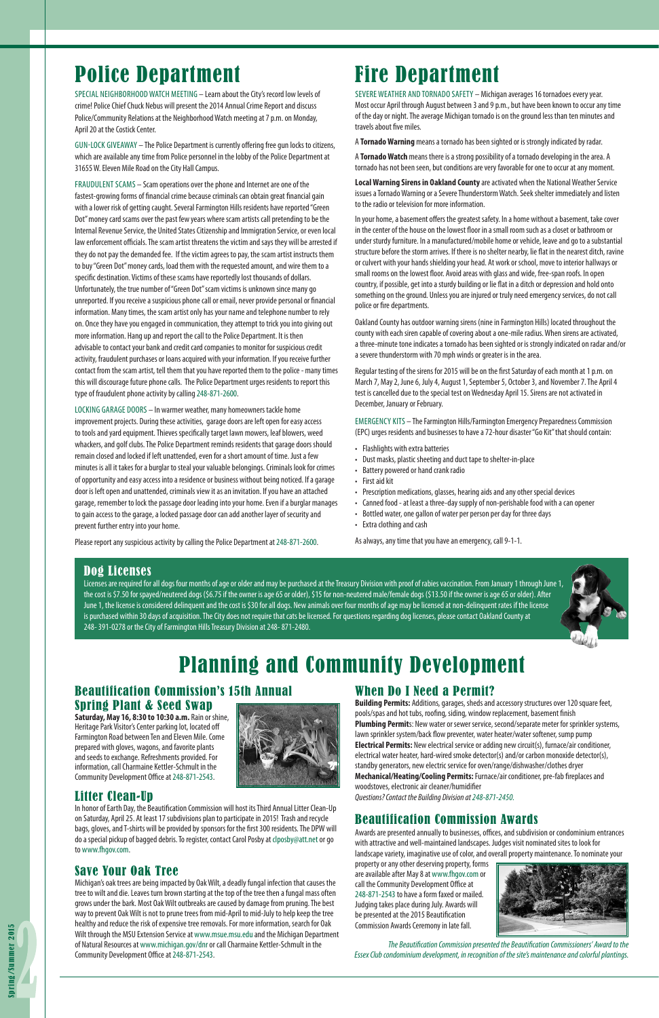# Fire Department

SEVERE WEATHER AND TORNADO SAFETY – Michigan averages 16 tornadoes every year. Most occur April through August between 3 and 9 p.m., but have been known to occur any time of the day or night. The average Michigan tornado is on the ground less than ten minutes and travels about five miles.

A **Tornado Warning** means a tornado has been sighted or is strongly indicated by radar.

A **Tornado Watch** means there is a strong possibility of a tornado developing in the area. A tornado has not been seen, but conditions are very favorable for one to occur at any moment.

**Local Warning Sirens in Oakland County** are activated when the National Weather Service issues a Tornado Warning or a Severe Thunderstorm Watch. Seek shelter immediately and listen to the radio or television for more information.

In your home, a basement offers the greatest safety. In a home without a basement, take cover in the center of the house on the lowest floor in a small room such as a closet or bathroom or under sturdy furniture. In a manufactured/mobile home or vehicle, leave and go to a substantial structure before the storm arrives. If there is no shelter nearby, lie flat in the nearest ditch, ravine or culvert with your hands shielding your head. At work or school, move to interior hallways or small rooms on the lowest floor. Avoid areas with glass and wide, free-span roofs. In open country, if possible, get into a sturdy building or lie flat in a ditch or depression and hold onto something on the ground. Unless you are injured or truly need emergency services, do not call police or fire departments.

Oakland County has outdoor warning sirens (nine in Farmington Hills) located throughout the county with each siren capable of covering about a one-mile radius. When sirens are activated, a three-minute tone indicates a tornado has been sighted or is strongly indicated on radar and/or a severe thunderstorm with 70 mph winds or greater is in the area.

Regular testing of the sirens for 2015 will be on the first Saturday of each month at 1 p.m. on March 7, May 2, June 6, July 4, August 1, September 5, October 3, and November 7. The April 4 test is cancelled due to the special test on Wednesday April 15. Sirens are not activated in December, January or February.

EMERGENCY KITS – The Farmington Hills/Farmington Emergency Preparedness Commission (EPC) urges residents and businesses to have a 72-hour disaster "Go Kit" that should contain:

- Flashlights with extra batteries
- Dust masks, plastic sheeting and duct tape to shelter-in-place
- Battery powered or hand crank radio
- First aid kit
- Prescription medications, glasses, hearing aids and any other special devices
- Canned food at least a three-day supply of non-perishable food with a can opener
- Bottled water, one gallon of water per person per day for three days
- Extra clothing and cash

As always, any time that you have an emergency, call 9-1-1.

## When Do I Need a Permit?

**Building Permits:** Additions, garages, sheds and accessory structures over 120 square feet, pools/spas and hot tubs, roofing, siding, window replacement, basement finish **Plumbing Permit**s: New water or sewer service, second/separate meter for sprinkler systems, lawn sprinkler system/back flow preventer, water heater/water softener, sump pump **Electrical Permits:** New electrical service or adding new circuit(s), furnace/air conditioner, electrical water heater, hard-wired smoke detector(s) and/or carbon monoxide detector(s), standby generators, new electric service for oven/range/dishwasher/clothes dryer **Mechanical/Heating/Cooling Permits:** Furnace/air conditioner, pre-fab fireplaces and woodstoves, electronic air cleaner/humidifier *Questions? Contact the Building Division at 248-871-2450.* 

## Beautification Commission Awards

Awards are presented annually to businesses, offices, and subdivision or condominium entrances with attractive and well-maintained landscapes. Judges visit nominated sites to look for landscape variety, imaginative use of color, and overall property maintenance. To nominate your

property or any other deserving property, forms are available after May 8 at www.fhgov.com or call the Community Development Office at 248-871-2543 to have a form faxed or mailed. Judging takes place during July. Awards will be presented at the 2015 Beautification Commission Awards Ceremony in late fall.



## Beautification Commission's 15th Annual Spring Plant & Seed Swap

**Saturday, May 16, 8:30 to 10:30 a.m.** Rain or shine, Heritage Park Visitor's Center parking lot, located off Farmington Road between Ten and Eleven Mile. Come prepared with gloves, wagons, and favorite plants and seeds to exchange. Refreshments provided. For information, call Charmaine Kettler-Schmult in the Community Development Office at 248-871-2543.



## Litter Clean-Up

In honor of Earth Day, the Beautification Commission will host its Third Annual Litter Clean-Up on Saturday, April 25. At least 17 subdivisions plan to participate in 2015! Trash and recycle bags, gloves, and T-shirts will be provided by sponsors for the first 300 residents. The DPW will do a special pickup of bagged debris. To register, contact Carol Posby at clposby@att.net or go to www.fhgov.com.

## Save Your Oak Tree

Michigan's oak trees are being impacted by Oak Wilt, a deadly fungal infection that causes the tree to wilt and die. Leaves turn brown starting at the top of the tree then a fungal mass often grows under the bark. Most Oak Wilt outbreaks are caused by damage from pruning. The best way to prevent Oak Wilt is not to prune trees from mid-April to mid-July to help keep the tree healthy and reduce the risk of expensive tree removals. For more information, search for Oak Wilt through the MSU Extension Service at www.msue.msu.edu and the Michigan Department of Natural Resources at www.michigan.gov/dnr or call Charmaine Kettler-Schmult in the Community Development Office at 248-871-2543.

## Police Department

SPECIAL NEIGHBORHOOD WATCH MEETING – Learn about the City's record low levels of crime! Police Chief Chuck Nebus will present the 2014 Annual Crime Report and discuss Police/Community Relations at the Neighborhood Watch meeting at 7 p.m. on Monday, April 20 at the Costick Center.

GUN-LOCK GIVEAWAY – The Police Department is currently offering free gun locks to citizens, which are available any time from Police personnel in the lobby of the Police Department at 31655 W. Eleven Mile Road on the City Hall Campus.

FRAUDULENT SCAMS – Scam operations over the phone and Internet are one of the fastest-growing forms of financial crime because criminals can obtain great financial gain with a lower risk of getting caught. Several Farmington Hills residents have reported "Green Dot" money card scams over the past few years where scam artists call pretending to be the Internal Revenue Service, the United States Citizenship and Immigration Service, or even local law enforcement officials. The scam artist threatens the victim and says they will be arrested if they do not pay the demanded fee. If the victim agrees to pay, the scam artist instructs them to buy "Green Dot" money cards, load them with the requested amount, and wire them to a specific destination. Victims of these scams have reportedly lost thousands of dollars. Unfortunately, the true number of "Green Dot" scam victims is unknown since many go unreported. If you receive a suspicious phone call or email, never provide personal or financial information. Many times, the scam artist only has your name and telephone number to rely on. Once they have you engaged in communication, they attempt to trick you into giving out more information. Hang up and report the call to the Police Department. It is then advisable to contact your bank and credit card companies to monitor for suspicious credit activity, fraudulent purchases or loans acquired with your information. If you receive further contact from the scam artist, tell them that you have reported them to the police - many times this will discourage future phone calls. The Police Department urges residents to report this type of fraudulent phone activity by calling 248-871-2600.

LOCKING GARAGE DOORS – In warmer weather, many homeowners tackle home improvement projects. During these activities, garage doors are left open for easy access to tools and yard equipment. Thieves specifically target lawn mowers, leaf blowers, weed whackers, and golf clubs. The Police Department reminds residents that garage doors should remain closed and locked if left unattended, even for a short amount of time. Just a few minutes is all it takes for a burglar to steal your valuable belongings. Criminals look for crimes of opportunity and easy access into a residence or business without being noticed. If a garage door is left open and unattended, criminals view it as an invitation. If you have an attached garage, remember to lock the passage door leading into your home. Even if a burglar manages to gain access to the garage, a locked passage door can add another layer of security and prevent further entry into your home.

Please report any suspicious activity by calling the Police Department at 248-871-2600.

*The Beautification Commission presented the Beautification Commissioners' Award to the Essex Club condominium development, in recognition of the site's maintenance and colorful plantings.* 

## Planning and Community Development

### Dog Licenses

Licenses are required for all dogs four months of age or older and may be purchased at the Treasury Division with proof of rabies vaccination. From January 1 through June 1, the cost is \$7.50 for spayed/neutered dogs (\$6.75 if the owner is age 65 or older), \$15 for non-neutered male/female dogs (\$13.50 if the owner is age 65 or older). After June 1, the license is considered delinquent and the cost is \$30 for all dogs. New animals over four months of age may be licensed at non-delinquent rates if the license is purchased within 30 days of acquisition. The City does not require that cats be licensed. For questions regarding dog licenses, please contact Oakland County at 248- 391-0278 or the City of Farmington Hills Treasury Division at 248- 871-2480.

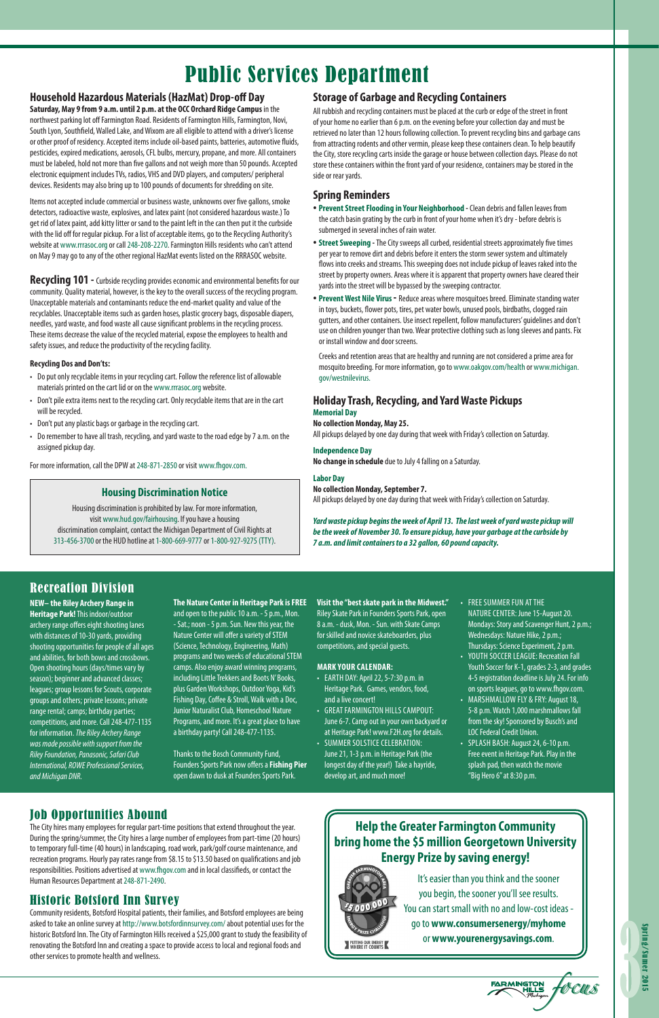

## Job Opportunities Abound

The City hires many employees for regular part-time positions that extend throughout the year. During the spring/summer, the City hires a large number of employees from part-time (20 hours) to temporary full-time (40 hours) in landscaping, road work, park/golf course maintenance, and recreation programs. Hourly pay rates range from \$8.15 to \$13.50 based on qualifications and job responsibilities. Positions advertised at www.fhgov.com and in local classifieds, or contact the Human Resources Department at 248-871-2490.

## Historic Botsford Inn Survey

Community residents, Botsford Hospital patients, their families, and Botsford employees are being asked to take an online survey at http://www.botsfordinnsurvey.com/ about potential uses for the historic Botsford Inn. The City of Farmington Hills received a \$25,000 grant to study the feasibility of renovating the Botsford Inn and creating a space to provide access to local and regional foods and other services to promote health and wellness.

### **Household Hazardous Materials (HazMat) Drop-off Day**

**Saturday, May 9 from 9 a.m. until 2 p.m. at the OCC Orchard Ridge Campus** in the northwest parking lot off Farmington Road. Residents of Farmington Hills, Farmington, Novi, South Lyon, Southfield, Walled Lake, and Wixom are all eligible to attend with a driver's license or other proof of residency. Accepted items include oil-based paints, batteries, automotive fluids, pesticides, expired medications, aerosols, CFL bulbs, mercury, propane, and more. All containers must be labeled, hold not more than five gallons and not weigh more than 50 pounds. Accepted electronic equipment includes TVs, radios, VHS and DVD players, and computers/ peripheral devices. Residents may also bring up to 100 pounds of documents for shredding on site.

**Recycling 101 -** Curbside recycling provides economic and environmental benefits for our community. Quality material, however, is the key to the overall success of the recycling program. Unacceptable materials and contaminants reduce the end-market quality and value of the recyclables. Unacceptable items such as garden hoses, plastic grocery bags, disposable diapers, needles, yard waste, and food waste all cause significant problems in the recycling process. These items decrease the value of the recycled material, expose the employees to health and safety issues, and reduce the productivity of the recycling facility.

Items not accepted include commercial or business waste, unknowns over five gallons, smoke detectors, radioactive waste, explosives, and latex paint (not considered hazardous waste.) To get rid of latex paint, add kitty litter or sand to the paint left in the can then put it the curbside with the lid off for regular pickup. For a list of acceptable items, go to the Recycling Authority's website at www.rrrasoc.org or call 248-208-2270. Farmington Hills residents who can't attend on May 9 may go to any of the other regional HazMat events listed on the RRRASOC website.

- **Prevent Street Flooding in Your Neighborhood -** Clean debris and fallen leaves from the catch basin grating by the curb in front of your home when it's dry - before debris is submerged in several inches of rain water.
- **Street Sweeping** The City sweeps all curbed, residential streets approximately five times per year to remove dirt and debris before it enters the storm sewer system and ultimately flows into creeks and streams. This sweeping does not include pickup of leaves raked into the street by property owners. Areas where it is apparent that property owners have cleared their yards into the street will be bypassed by the sweeping contractor.
- **Prevent West Nile Virus** Reduce areas where mosquitoes breed. Eliminate standing water in toys, buckets, flower pots, tires, pet water bowls, unused pools, birdbaths, clogged rain gutters, and other containers. Use insect repellent, follow manufacturers' guidelines and don't use on children younger than two. Wear protective clothing such as long sleeves and pants. Fix or install window and door screens.

#### **Recycling Dos and Don'ts:**

- Do put only recyclable items in your recycling cart. Follow the reference list of allowable materials printed on the cart lid or on the www.rrrasoc.org website.
- Don't pile extra items next to the recycling cart. Only recyclable items that are in the cart will be recycled.
- Don't put any plastic bags or garbage in the recycling cart.
- Do remember to have all trash, recycling, and yard waste to the road edge by 7 a.m. on the assigned pickup day.

For more information, call the DPW at 248-871-2850 or visit www.fhgov.com.

## Public Services Department

### **Storage of Garbage and Recycling Containers**

All rubbish and recycling containers must be placed at the curb or edge of the street in front of your home no earlier than 6 p.m. on the evening before your collection day and must be retrieved no later than 12 hours following collection. To prevent recycling bins and garbage cans from attracting rodents and other vermin, please keep these containers clean. To help beautify the City, store recycling carts inside the garage or house between collection days. Please do not store these containers within the front yard of your residence, containers may be stored in the side or rear yards.

### **Spring Reminders**

Creeks and retention areas that are healthy and running are not considered a prime area for mosquito breeding. For more information, go to www.oakgov.com/health or www.michigan. gov/westnilevirus.

#### **Holiday Trash, Recycling, and Yard Waste Pickups Memorial Day**

#### **No collection Monday, May 25.**

All pickups delayed by one day during that week with Friday's collection on Saturday.

#### **Independence Day**

**No change in schedule** due to July 4 falling on a Saturday.

#### **Labor Day**

**No collection Monday, September 7.**

All pickups delayed by one day during that week with Friday's collection on Saturday.

*Yard waste pickup begins the week of April 13. The last week of yard waste pickup will be the week of November 30. To ensure pickup, have your garbage at the curbside by 7 a.m. and limit containers to a 32 gallon, 60 pound capacity.* 

#### **NEW– the Riley Archery Range in Heritage Park!** This indoor/outdoor

archery range offers eight shooting lanes with distances of 10-30 yards, providing shooting opportunities for people of all ages and abilities, for both bows and crossbows. Open shooting hours (days/times vary by season); beginner and advanced classes; leagues; group lessons for Scouts, corporate groups and others; private lessons; private range rental; camps; birthday parties; competitions, and more. Call 248-477-1135 for information. *The Riley Archery Range was made possible with support from the* 

*Riley Foundation, Panasonic, Safari Club International, ROWE Professional Services, and Michigan DNR.*

#### **The Nature Center in Heritage Park is FREE**

and open to the public 10 a.m. - 5 p.m., Mon. - Sat.; noon - 5 p.m. Sun. New this year, the Nature Center will offer a variety of STEM (Science, Technology, Engineering, Math) programs and two weeks of educational STEM camps. Also enjoy award winning programs, including Little Trekkers and Boots N' Books, plus Garden Workshops, Outdoor Yoga, Kid's Fishing Day, Coffee & Stroll, Walk with a Doc, Junior Naturalist Club, Homeschool Nature Programs, and more. It's a great place to have a birthday party! Call 248-477-1135.

Thanks to the Bosch Community Fund, Founders Sports Park now offers a **Fishing Pier** open dawn to dusk at Founders Sports Park.

**Visit the "best skate park in the Midwest."**  Riley Skate Park in Founders Sports Park, open 8 a.m. - dusk, Mon. - Sun. with Skate Camps for skilled and novice skateboarders, plus competitions, and special guests.

#### **MARK YOUR CALENDAR:**

June 21, 1-3 p.m. in Heritage Park (the longest day of the year!) Take a hayride, develop art, and much more!

- EARTH DAY: April 22, 5-7:30 p.m. in Heritage Park. Games, vendors, food, and a live concert!
- GREAT FARMINGTON HILLS CAMPOUT: June 6-7. Camp out in your own backyard or at Heritage Park! www.F2H.org for details.
- SUMMER SOLSTICE CELEBRATION:
- FREE SUMMER FUN AT THE NATURE CENTER: June 15-August 20. Mondays: Story and Scavenger Hunt, 2 p.m.; Wednesdays: Nature Hike, 2 p.m.; Thursdays: Science Experiment, 2 p.m.
- YOUTH SOCCER LEAGUE: Recreation Fall Youth Soccer for K-1, grades 2-3, and grades 4-5 registration deadline is July 24. For info on sports leagues, go to www.fhgov.com.
- MARSHMALLOW FLY & FRY: August 18, 5-8 p.m. Watch 1,000 marshmallows fall from the sky! Sponsored by Busch's and LOC Federal Credit Union.
- SPLASH BASH: August 24, 6-10 p.m.

Free event in Heritage Park. Play in the splash pad, then watch the movie "Big Hero 6" at 8:30 p.m.

#### **Housing Discrimination Notice**

Housing discrimination is prohibited by law. For more information, visit www.hud.gov/fairhousing. If you have a housing discrimination complaint, contact the Michigan Department of Civil Rights at 313-456-3700 or the HUD hotline at 1-800-669-9777 or 1-800-927-9275 (TTY).

> **Help the Greater Farmington Community bring home the \$5 million Georgetown University Energy Prize by saving energy!**



## Recreation Division

It's easier than you think and the sooner you begin, the sooner you'll see results. You can start small with no and low-cost ideas go to **www.consumersenergy/myhome** or **www.yourenergysavings.com**.